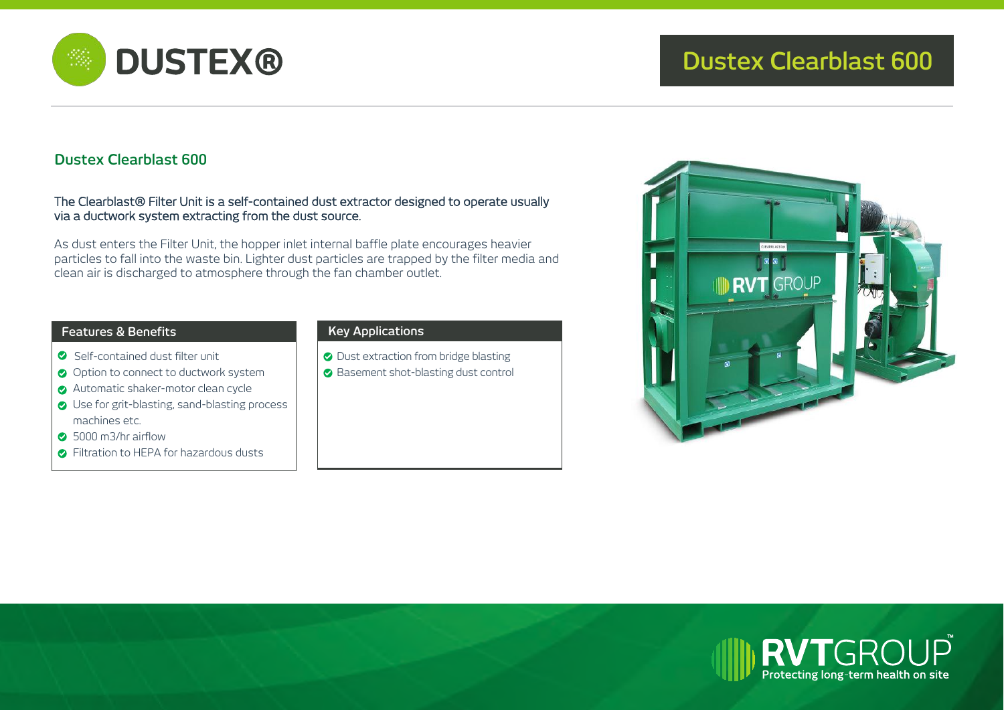

# **Dustex Clearblast 600**

### The Clearblast® Filter Unit is a self-contained dust extractor designed to operate usually via a ductwork system extracting from the dust source.

As dust enters the Filter Unit, the hopper inlet internal baffle plate encourages heavier particles to fall into the waste bin. Lighter dust particles are trapped by the filter media and clean air is discharged to atmosphere through the fan chamber outlet.

## **Features & Benefits Key Applications**

- Self-contained dust filter unit
- O Option to connect to ductwork system
- Automatic shaker-motor clean cycle
- **◯** Use for grit-blasting, sand-blasting process machines etc.
- **8** 5000 m3/hr airflow
- **C** Filtration to HEPA for hazardous dusts

O Dust extraction from bridge blasting **◆ Basement shot-blasting dust control**